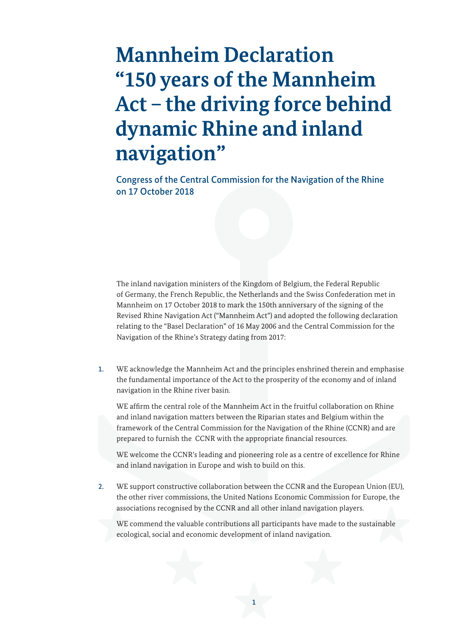## **Mannheim Declaration "150 years of the Mannheim Act – the driving force behind dynamic Rhine and inland navigation"**

Congress of the Central Commission for the Navigation of the Rhine<br>on 17 October 2018

 The inland navigation ministers of the Kingdom of Belgium, the Federal Republic of Germany, the French Republic, the Netherlands and the Swiss Confederation met in Mannheim on 17 October 2018 to mark the 150th anniversary of the signing of the Revised Rhine Navigation Act ("Mannheim Act") and adopted the following declaration relating to the "Basel Declaration" of 16 May 2006 and the Central Commission for the Navigation of the Rhine's Strategy dating from 2017:

1. WE acknowledge the Mannheim Act and the principles enshrined therein and emphasise the fundamental importance of the Act to the prosperity of the economy and of inland navigation in the Rhine river basin.

 WE affirm the central role of the Mannheim Act in the fruitful collaboration on Rhine and inland navigation matters between the Riparian states and Belgium within the framework of the Central Commission for the Navigation of the Rhine (CCNR) and are prepared to furnish the CCNR with the appropriate financial resources.

 WE welcome the CCNR's leading and pioneering role as a centre of excellence for Rhine and inland navigation in Europe and wish to build on this.

2. WE support constructive collaboration between the CCNR and the European Union (EU), the other river commissions, the United Nations Economic Commission for Europe, the associations recognised by the CCNR and all other inland navigation players.

 WE commend the valuable contributions all participants have made to the sustainable ecological, social and economic development of inland navigation.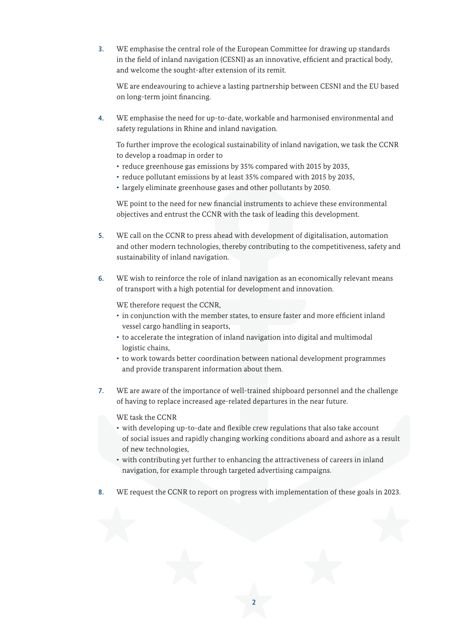3. WE emphasise the central role of the European Committee for drawing up standards in the field of inland navigation (CESNI) as an innovative, efficient and practical body, and welcome the sought-after extension of its remit.

 WE are endeavouring to achieve a lasting partnership between CESNI and the EU based on long-term joint financing.

4. WE emphasise the need for up-to-date, workable and harmonised environmental and safety regulations in Rhine and inland navigation.

 To further improve the ecological sustainability of inland navigation, we task the CCNR to develop a roadmap in order to

- reduce greenhouse gas emissions by 35% compared with 2015 by 2035,
- reduce pollutant emissions by at least 35% compared with 2015 by 2035,
- largely eliminate greenhouse gases and other pollutants by 2050.

 WE point to the need for new financial instruments to achieve these environmental objectives and entrust the CCNR with the task of leading this development.

- 5. WE call on the CCNR to press ahead with development of digitalisation, automation and other modern technologies, thereby contributing to the competitiveness, safety and sustainability of inland navigation.
- 6. WE wish to reinforce the role of inland navigation as an economically relevant means of transport with a high potential for development and innovation.

WE therefore request the CCNR,

- in conjunction with the member states, to ensure faster and more efficient inland vessel cargo handling in seaports,
- to accelerate the integration of inland navigation into digital and multimodal logistic chains,
- to work towards better coordination between national development programmes and provide transparent information about them.
- 7. WE are aware of the importance of well-trained shipboard personnel and the challenge of having to replace increased age-related departures in the near future.

WE task the CCNR

- with developing up-to-date and flexible crew regulations that also take account of social issues and rapidly changing working conditions aboard and ashore as a result of new technologies,
- with contributing yet further to enhancing the attractiveness of careers in inland navigation, for example through targeted advertising campaigns.
- 8. WE request the CCNR to report on progress with implementation of these goals in 2023.